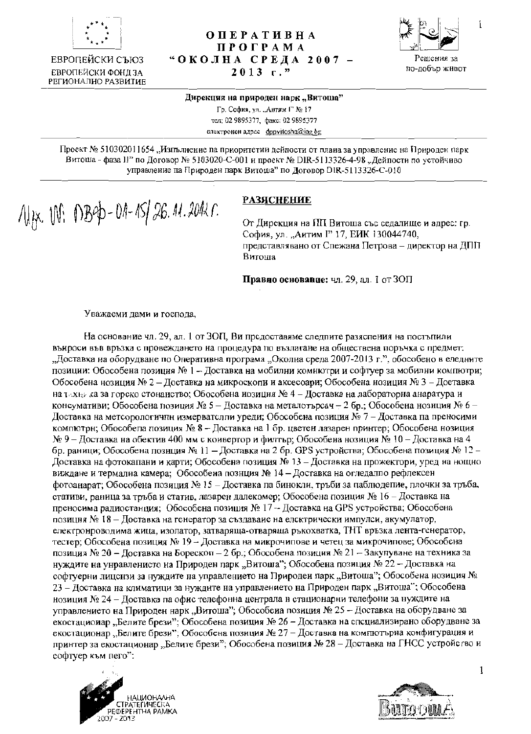

ЕВРОПЕЙСКИ СЪЮЗ ЕВРОПЕЙСКИ ФОНЛ ЗА **РЕГИОНАЛНО РАЗВИТИЕ** 

## **ОПЕРАТИВНА ПРОГРАМА** "ОКОЛНА СРЕДА 2007 - $2013$  r."



 $\mathbf{I}$ 

#### Дирекция на природен нарк "Витоша"

Гр. София, ул. "Антим Г" № 17 тел: 02 9895377, факс: 02 9895377 електронен адрес dppvitosha@iag bg

Проект № 510302011654, Изпълнение па приоритетни дейлости от плана за управление на Природен парк Витоша - фаза II" по Договор № 5103020-С-001 и проект № DIR-5113326-4-98 "Дейпости по устойчиво управление па Природен парк Витоша" по Логовор DIR-5113326-C-010

NHX 101: 0B90-01-15/26.11.2012 r.

# **РАЗЯСНЕНИЕ**

От Дирекция на ПП Витоша със седалище и адрес: гр. София, ул. "Антим Г" 17. ЕИК 130044740, представлявано от Спежана Петрова - директор на ДПП Витоша

Правно основание: чл. 29, ал. 1 от ЗОП

Уважаеми дами и гоепода,

На основание чл. 29, ал. 1 от ЗОП, Ви предоставиме следпите разяспения на постъпили вънроси във връзка с провеждането на процедура по възлагане на обществена поръчка с предмет: "Доставка на оборудване по Оперативна програма "Околна среда 2007-2013 г.", обособено в еледните позиции: Обособена позиция № 1 – Доставка на мобилни комнютри и софтуер за мобилни компютри; Обособена нозиция № 2 – Доставка на микроскопи и аксесоари; Обособена нозиция № 3 – Доетавка на техня за в горско стонанство; Обособена иозиция № 4 – Доставка на лабораторна анаратура и консумативи; Обособена позиция № 5 - Доставка на металотърсач - 2 бр.; Обособена нозиция № 6 -Доставка на метсорологични измерватслии уреди; Обособена позиция № 7 – Доставка на преносими компютри; Обособела позиция № 8 – Доставка на 1 бр. цветен лазарен принтер; Обособена нозиция  $N_2$  9 – Доставка на обектив 400 мм с коивертор и филтър; Обособена нозиция  $N_2$  10 – Доставка на 4 бр. раници; Обособена познция № 11 – Доставка на 2 бр. GPS устройства; Обособена позиция № 12 – Доставка на фотокапани и карти; Обособена позиция № 13 – Доставка на прожектори, уред на нощно виждане и термална камера; Обособена познция № 14 - Доставка на огледално рефлексен фотоанарат; Обособена позиция № 15 – Доставка па бинокли, тръби за паблюдепие, плочкн за тръба, стативи, раница за тръба и статив, лазарен далекомер; Обособена позиция № 16 – Доставка на преносима радиостанция; Обособена позиция № 17 -- Доставка на GPS устройства; Обособена позицня № 18 - Доставка на генератор за създаваие на елсктрически импулси, акумулатор, електронроводима жица, изолатор, затваряща-отваряща ръкохватка, ТНТ връзка лента-генератор, тестер; Обособена позиция № 19 - Доставка на микрочипове и четец за микрочипове; Обособсна позиция № 20 - Доставка на Борескоп - 2 бр.; Обособена позиция № 21 - Закупуване на техника за нуждите на унравленисто на Природен парк "Витоша"; Обособена позиция № 22 - Доставка на софтуерни лицснзи за нуждите на управлението на Природеи парк "Витоша"; Обособена нозиция № 23 – Лоставка на климатици за нуждите на управлението на Природен парк "Витоша"; Обособена нозиция № 24 - Доставка па офис телефонна централа н стационарни телефони за нуждите на управлението на Природен нарк "Витоша"; Обособена позиция № 25 - Доставка на оборудване за екостационар "Белите брези"; Обособена позиция № 26 - Доставка на спсциализирано оборудване за екостационар "Белите брези"; Обособена позиция № 27 - Доставка на компютърна конфигурация и принтер за екостационар "Белите брези"; Обособена позиция № 28 - Доставка на ГНСС устройство и софтуер към пего":





 $\mathbf{1}$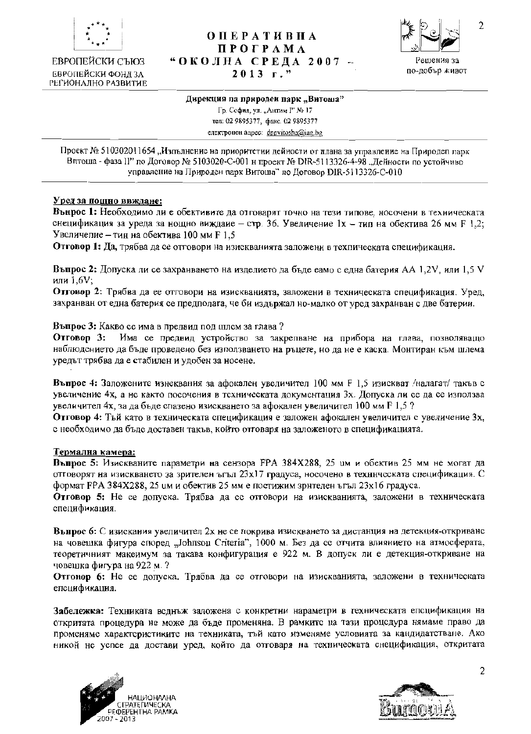

ЕВРОПЕЙСКИ СЪЮЗ ЕВРОПЕЙСКИ ФОНЛ ЗА РЕГИОНАЛНО РАЗВИТИЕ

# **ОПЕРАТИВНА** ПРОГРАМА "ОКОЛНА СРЕДА 2007 - $2013$   $r.$ "



### Дирекция на природен парк "Витоша"

Гр. София, ул. "Антим Г" № 17 тел: 02 9895377, факс. 02 9895377 enextronen agpec: dppvitosha@iag.bg

Проект № 510302011654, Изпълнение на приоритетни дейности от плана за управление на Природеп парк Вптоша - фаза II" по Договор № 5103020-С-001 н проект № DIR-5113326-4-98 "Дейности по устойчиво управление на Природен парк Витоша" по Договор DIR-5113326-C-010

## Уред за нощно ввждане:

Вънрос 1: Необходимо ли е обективите да отговарят точно на тези типове, носочени в техническата снецификация за уреда за нощно виждаие - стр. 36. Увеличение 1x - тип на обектива 26 мм F 1,2; Увсличепие – тин на обектива 100 мм F 1.5

Отговор 1: Да, трябва да се отговори на изискванията заложени в техпическата спецификация.

**Въпрос 2:** Допуска ли се захранването на изделието да бъде еамо с една батерия АА 1.2V, или 1.5 V или 1.6V;

Отговор 2: Трябва да ее отговори на изискванията, заложени в техническата спецификация. Уред, захранван от една батерия се предполага, че би издържал но-малко от уред захранван с две батерии.

Въпрос 3: Какво се има в предвид под цилсм за глава?

OTrobon 3: Има се предвид устройство за закрепване на прибора на глава, позволяващо наблюдението да бъде проведено без използването на ръцете, но да не е каска. Монтиран към шлема уредът трябва да е стабилен и удобен за носене.

Въпрос 4: Заложените изнеквания за афокален увеличител 100 мм F 1,5 изискват /налагат/ такъв с увеличение 4х, а не както посочения в техническата документация 3х. Допуска ли ее да се използва увеличител 4х, за да бъде спазено изискването за афокален увеличител 100 мм F 1,5 ?

Отговор 4: Тый като в техническата спецификация е заложен афокален увеличител с увеличение 3х, с необходимо да бъдс доставен такъв, който отговаря на заложеното в спецификацията.

### Термална камера:

Въпрос 5: Изискваните параметри на сензора FPA 384X288, 25 им и обектив 25 мм не могат да отговорят на изискването за зрителен ътъл 23х17 градуса, носочено в техническата спецификация. С формат FPA 384X288, 25 им и обектив 25 мм е постижим зрителен ъгъл 23х16 градуса.

Отговор 5: Не се допуска. Трябва да се отговори на изискванията, задожени в техническата спецификация.

Вънрос 6: С изискания увеличител 2х не се покрива изискването за дистанция на детекция-откриванс на човешка фигура според "Johnson Criteria", 1000 м. Без да со отчита влиянието на атмосферата, теоретичният макеимум за такава конфигурация е 922 м. В допуск ли е детекция-откриване на човешка фигура на 922 м. ?

Отгонор 6: Не се допуска. Трябва да се отговори на изискванията, заложени в техническата епсцификация.

Забележка: Техниката воднъж заложена с конкретни нараметри в техническата епсцификация на откритата процедура не може да бъде променяна. В рамките на тази процедура нямаме право да променяме характеристиките на техниката, тъй като изменяме условията за кандидатстване. Ако никой не успее да достави уред, който да отговаря на техническата снецификация, откритата





 $\overline{c}$